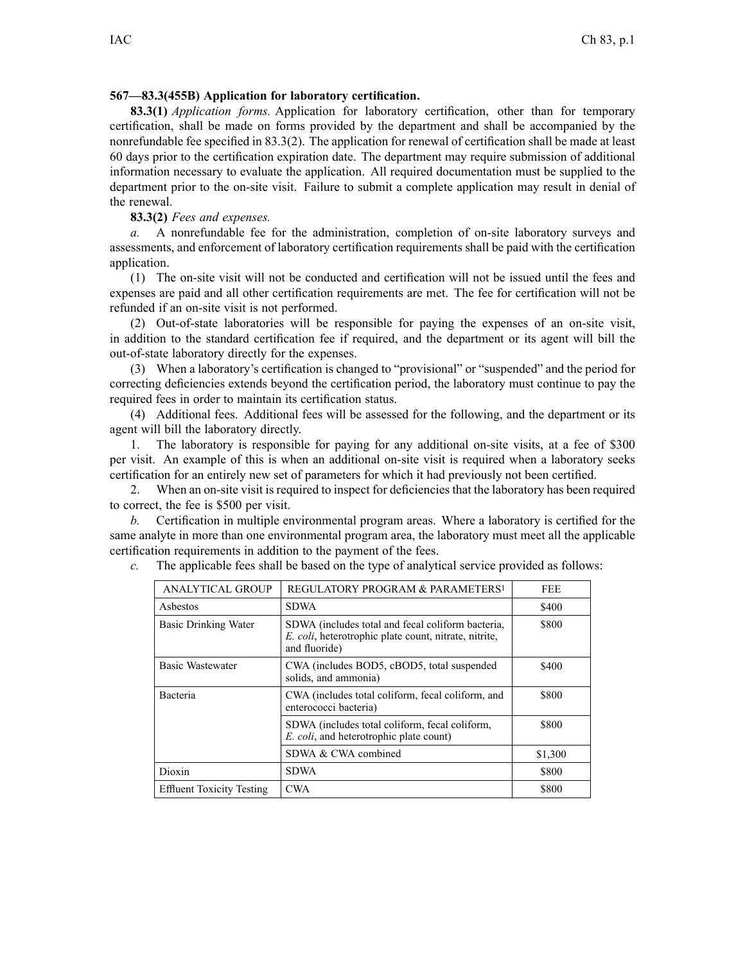## **567—83.3(455B) Application for laboratory certification.**

**83.3(1)** *Application forms.* Application for laboratory certification, other than for temporary certification, shall be made on forms provided by the department and shall be accompanied by the nonrefundable fee specified in 83.3(2). The application for renewal of certification shall be made at least 60 days prior to the certification expiration date. The department may require submission of additional information necessary to evaluate the application. All required documentation must be supplied to the department prior to the on-site visit. Failure to submit <sup>a</sup> complete application may result in denial of the renewal.

**83.3(2)** *Fees and expenses.*

*a.* A nonrefundable fee for the administration, completion of on-site laboratory surveys and assessments, and enforcement of laboratory certification requirements shall be paid with the certification application.

(1) The on-site visit will not be conducted and certification will not be issued until the fees and expenses are paid and all other certification requirements are met. The fee for certification will not be refunded if an on-site visit is not performed.

(2) Out-of-state laboratories will be responsible for paying the expenses of an on-site visit, in addition to the standard certification fee if required, and the department or its agen<sup>t</sup> will bill the out-of-state laboratory directly for the expenses.

(3) When <sup>a</sup> laboratory's certification is changed to "provisional" or "suspended" and the period for correcting deficiencies extends beyond the certification period, the laboratory must continue to pay the required fees in order to maintain its certification status.

(4) Additional fees. Additional fees will be assessed for the following, and the department or its agen<sup>t</sup> will bill the laboratory directly.

1. The laboratory is responsible for paying for any additional on-site visits, at <sup>a</sup> fee of \$300 per visit. An example of this is when an additional on-site visit is required when <sup>a</sup> laboratory seeks certification for an entirely new set of parameters for which it had previously not been certified.

2. When an on-site visit is required to inspect for deficiencies that the laboratory has been required to correct, the fee is \$500 per visit.

*b.* Certification in multiple environmental program areas. Where <sup>a</sup> laboratory is certified for the same analyte in more than one environmental program area, the laboratory must meet all the applicable certification requirements in addition to the paymen<sup>t</sup> of the fees.

| <b>ANALYTICAL GROUP</b>          | REGULATORY PROGRAM & PARAMETERS <sup>1</sup>                                                                                | <b>FEE</b> |
|----------------------------------|-----------------------------------------------------------------------------------------------------------------------------|------------|
| Asbestos                         | SDWA                                                                                                                        | \$400      |
| <b>Basic Drinking Water</b>      | SDWA (includes total and fecal coliform bacteria,<br>E. coli, heterotrophic plate count, nitrate, nitrite,<br>and fluoride) | \$800      |
| <b>Basic Wastewater</b>          | CWA (includes BOD5, cBOD5, total suspended<br>solids, and ammonia)                                                          | \$400      |
| Bacteria                         | CWA (includes total coliform, fecal coliform, and<br>enterococci bacteria)                                                  | \$800      |
|                                  | SDWA (includes total coliform, fecal coliform,<br><i>E. coli</i> , and heterotrophic plate count)                           | \$800      |
|                                  | SDWA & CWA combined                                                                                                         | \$1,300    |
| Dioxin                           | <b>SDWA</b>                                                                                                                 | \$800      |
| <b>Effluent Toxicity Testing</b> | <b>CWA</b>                                                                                                                  | \$800      |

*c.* The applicable fees shall be based on the type of analytical service provided as follows: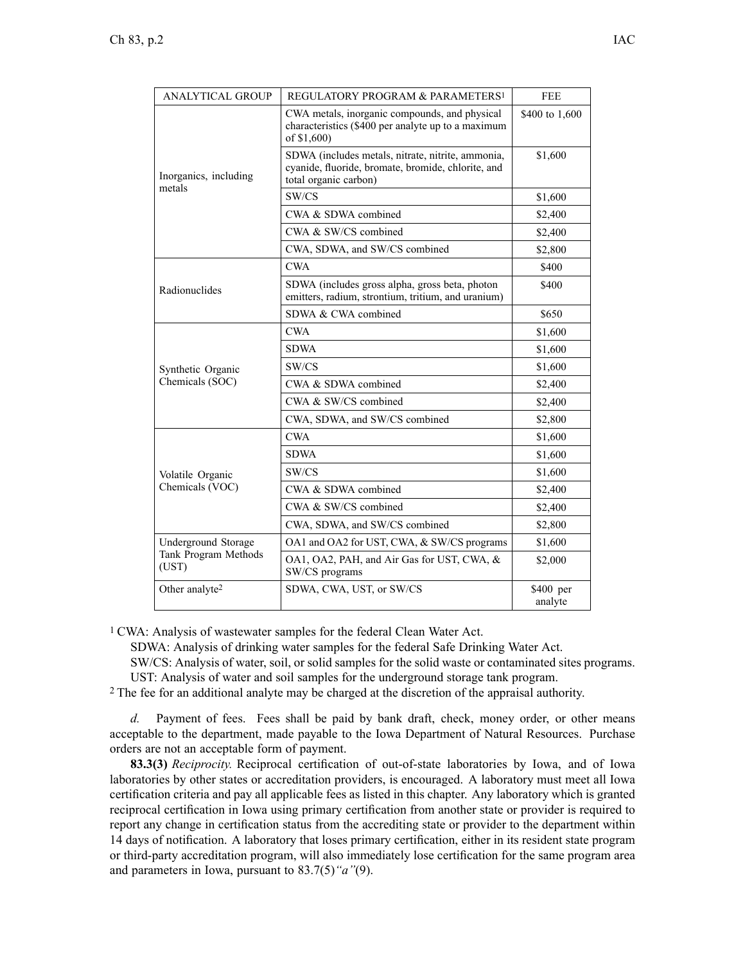| <b>ANALYTICAL GROUP</b>                              | REGULATORY PROGRAM & PARAMETERS <sup>1</sup>                                                                                     | <b>FEE</b>           |
|------------------------------------------------------|----------------------------------------------------------------------------------------------------------------------------------|----------------------|
| Inorganics, including<br>metals                      | CWA metals, inorganic compounds, and physical<br>characteristics (\$400 per analyte up to a maximum<br>of \$1,600)               | \$400 to 1,600       |
|                                                      | SDWA (includes metals, nitrate, nitrite, ammonia,<br>cyanide, fluoride, bromate, bromide, chlorite, and<br>total organic carbon) | \$1,600              |
|                                                      | SW/CS                                                                                                                            | \$1,600              |
|                                                      | CWA & SDWA combined                                                                                                              | \$2,400              |
|                                                      | CWA & SW/CS combined                                                                                                             | \$2,400              |
|                                                      | CWA, SDWA, and SW/CS combined                                                                                                    | \$2,800              |
| Radionuclides                                        | <b>CWA</b>                                                                                                                       | \$400                |
|                                                      | SDWA (includes gross alpha, gross beta, photon<br>emitters, radium, strontium, tritium, and uranium)                             | \$400                |
|                                                      | SDWA & CWA combined                                                                                                              | \$650                |
| Synthetic Organic<br>Chemicals (SOC)                 | <b>CWA</b>                                                                                                                       | \$1,600              |
|                                                      | <b>SDWA</b>                                                                                                                      | \$1,600              |
|                                                      | SW/CS                                                                                                                            | \$1,600              |
|                                                      | CWA & SDWA combined                                                                                                              | \$2,400              |
|                                                      | CWA & SW/CS combined                                                                                                             | \$2,400              |
|                                                      | CWA, SDWA, and SW/CS combined                                                                                                    | \$2,800              |
| Volatile Organic<br>Chemicals (VOC)                  | <b>CWA</b>                                                                                                                       | \$1,600              |
|                                                      | <b>SDWA</b>                                                                                                                      | \$1,600              |
|                                                      | SW/CS                                                                                                                            | \$1,600              |
|                                                      | CWA & SDWA combined                                                                                                              | \$2,400              |
|                                                      | CWA & SW/CS combined                                                                                                             | \$2,400              |
|                                                      | CWA, SDWA, and SW/CS combined                                                                                                    | \$2,800              |
| Underground Storage<br>Tank Program Methods<br>(UST) | OA1 and OA2 for UST, CWA, & SW/CS programs                                                                                       | \$1,600              |
|                                                      | OA1, OA2, PAH, and Air Gas for UST, CWA, &<br>SW/CS programs                                                                     | \$2,000              |
| Other analyte <sup>2</sup>                           | SDWA, CWA, UST, or SW/CS                                                                                                         | \$400 per<br>analyte |

<sup>1</sup> CWA: Analysis of wastewater samples for the federal Clean Water Act.

SDWA: Analysis of drinking water samples for the federal Safe Drinking Water Act.

SW/CS: Analysis of water, soil, or solid samples for the solid waste or contaminated sites programs. UST: Analysis of water and soil samples for the underground storage tank program.

<sup>2</sup> The fee for an additional analyte may be charged at the discretion of the appraisal authority.

*d.* Payment of fees. Fees shall be paid by bank draft, check, money order, or other means acceptable to the department, made payable to the Iowa Department of Natural Resources. Purchase orders are not an acceptable form of payment.

**83.3(3)** *Reciprocity.* Reciprocal certification of out-of-state laboratories by Iowa, and of Iowa laboratories by other states or accreditation providers, is encouraged. A laboratory must meet all Iowa certification criteria and pay all applicable fees as listed in this chapter. Any laboratory which is granted reciprocal certification in Iowa using primary certification from another state or provider is required to repor<sup>t</sup> any change in certification status from the accrediting state or provider to the department within 14 days of notification. A laboratory that loses primary certification, either in its resident state program or third-party accreditation program, will also immediately lose certification for the same program area and parameters in Iowa, pursuan<sup>t</sup> to 83.7(5)*"a"*(9).